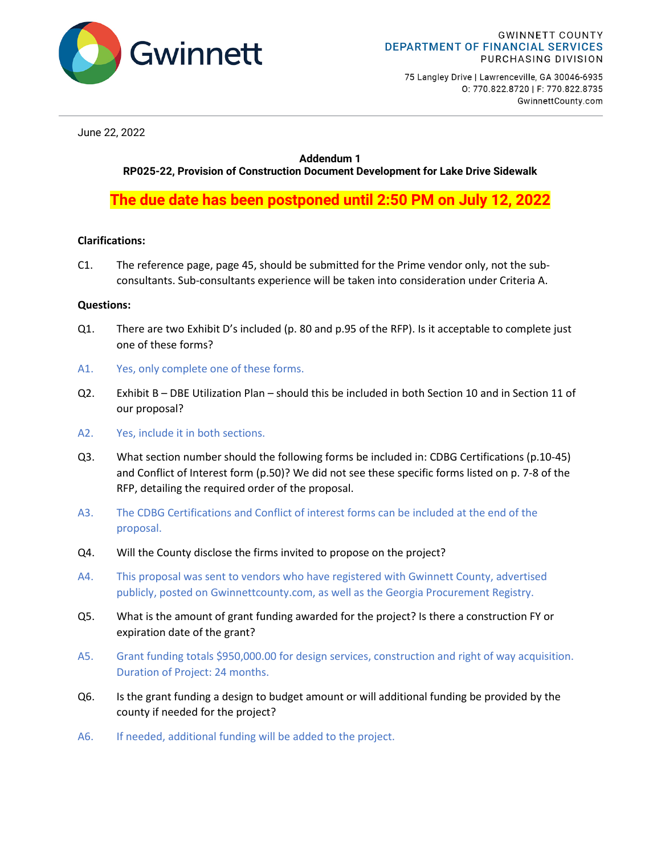

75 Langley Drive | Lawrenceville, GA 30046-6935 0: 770.822.8720 | F: 770.822.8735 GwinnettCounty.com

June 22, 2022

## **Addendum 1**

**RP025-22, Provision of Construction Document Development for Lake Drive Sidewalk**

**The due date has been postponed until 2:50 PM on July 12, 2022**

## **Clarifications:**

C1. The reference page, page 45, should be submitted for the Prime vendor only, not the subconsultants. Sub-consultants experience will be taken into consideration under Criteria A.

## **Questions:**

- Q1. There are two Exhibit D's included (p. 80 and p.95 of the RFP). Is it acceptable to complete just one of these forms?
- A1. Yes, only complete one of these forms.
- Q2. Exhibit B DBE Utilization Plan should this be included in both Section 10 and in Section 11 of our proposal?
- A2. Yes, include it in both sections.
- Q3. What section number should the following forms be included in: CDBG Certifications (p.10-45) and Conflict of Interest form (p.50)? We did not see these specific forms listed on p. 7-8 of the RFP, detailing the required order of the proposal.
- A3. The CDBG Certifications and Conflict of interest forms can be included at the end of the proposal.
- Q4. Will the County disclose the firms invited to propose on the project?
- A4. This proposal was sent to vendors who have registered with Gwinnett County, advertised publicly, posted on Gwinnettcounty.com, as well as the Georgia Procurement Registry.
- Q5. What is the amount of grant funding awarded for the project? Is there a construction FY or expiration date of the grant?
- A5. Grant funding totals \$950,000.00 for design services, construction and right of way acquisition. Duration of Project: 24 months.
- Q6. Is the grant funding a design to budget amount or will additional funding be provided by the county if needed for the project?
- A6. If needed, additional funding will be added to the project.